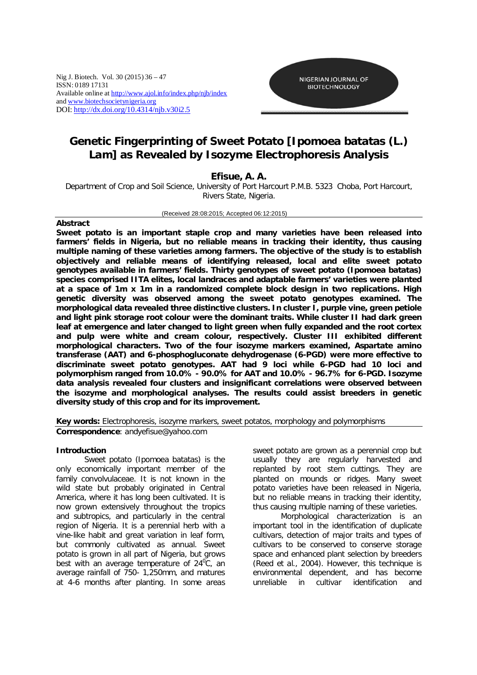Nig J. Biotech. Vol. 30 (2015) 36 – 47 ISSN: 0189 17131 Available online at http://www.ajol.info/index.php/njb/index and www.biotechsocietynigeria.org DOI: http://dx.doi.org/10.4314/njb.v30i2.5



# **Genetic Fingerprinting of Sweet Potato [***Ipomoea batatas (L.) Lam]* **as Revealed by Isozyme Electrophoresis Analysis**

# **Efisue, A. A.**

Department of Crop and Soil Science, University of Port Harcourt P.M.B. 5323 Choba, Port Harcourt, Rivers State, Nigeria.

#### (Received 28:08:2015; Accepted 06:12:2015)

# **Abstract**

**Sweet potato is an important staple crop and many varieties have been released into farmers' fields in Nigeria, but no reliable means in tracking their identity, thus causing multiple naming of these varieties among farmers. The objective of the study is to establish objectively and reliable means of identifying released, local and elite sweet potato genotypes available in farmers' fields. Thirty genotypes of sweet potato (***Ipomoea batatas***) species comprised IITA elites, local landraces and adaptable farmers' varieties were planted at a space of 1m x 1m in a randomized complete block design in two replications. High genetic diversity was observed among the sweet potato genotypes examined. The morphological data revealed three distinctive clusters. In cluster I, purple vine, green petiole and light pink storage root colour were the dominant traits. While cluster II had dark green leaf at emergence and later changed to light green when fully expanded and the root cortex and pulp were white and cream colour, respectively. Cluster III exhibited different morphological characters. Two of the four isozyme markers examined, Aspartate amino transferase (AAT) and 6-phosphogluconate dehydrogenase (6-PGD) were more effective to discriminate sweet potato genotypes. AAT had 9 loci while 6-PGD had 10 loci and polymorphism ranged from 10.0% - 90.0% for AAT and 10.0% - 96.7% for 6-PGD. Isozyme data analysis revealed four clusters and insignificant correlations were observed between the isozyme and morphological analyses. The results could assist breeders in genetic diversity study of this crop and for its improvement.**

**Key words:** Electrophoresis, isozyme markers, sweet potatos, morphology and polymorphisms *Correspondence: andyefisue@yahoo.com*

# **Introduction**

Sweet potato (*Ipomoea batatas*) is the only economically important member of the family *convolvulaceae*. It is not known in the wild state but probably originated in Central America, where it has long been cultivated. It is now grown extensively throughout the tropics and subtropics, and particularly in the central region of Nigeria. It is a perennial herb with a vine-like habit and great variation in leaf form, but commonly cultivated as annual. Sweet potato is grown in all part of Nigeria, but grows best with an average temperature of  $24^{\circ}$ C, an average rainfall of 750- 1,250mm, and matures at 4-6 months after planting. In some areas

sweet potato are grown as a perennial crop but usually they are regularly harvested and replanted by root stem cuttings. They are planted on mounds or ridges. Many sweet potato varieties have been released in Nigeria, but no reliable means in tracking their identity, thus causing multiple naming of these varieties.

Morphological characterization is an important tool in the identification of duplicate cultivars, detection of major traits and types of cultivars to be conserved to conserve storage space and enhanced plant selection by breeders (Reed *et al*., 2004). However, this technique is environmental dependent, and has become unreliable in cultivar identification and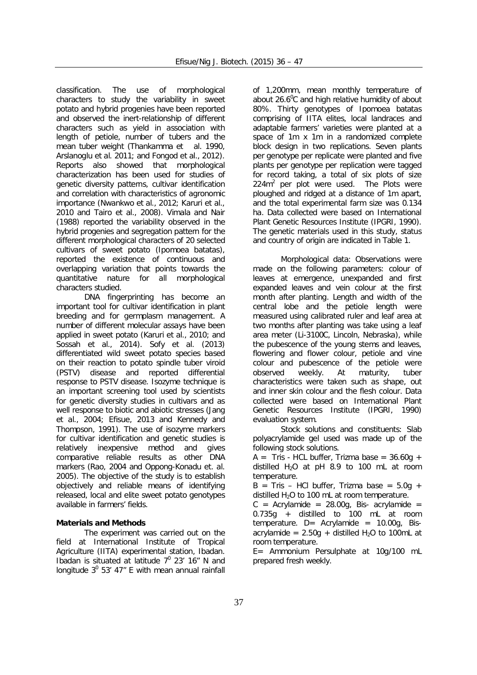classification. The use of morphological characters to study the variability in sweet potato and hybrid progenies have been reported and observed the inert-relationship of different characters such as yield in association with length of petiole, number of tubers and the mean tuber weight (Thankamma *et al.* 1990, Arslanoglu *et al.* 2011; and Fongod *et al.,* 2012). Reports also showed that morphological characterization has been used for studies of genetic diversity patterns, cultivar identification and correlation with characteristics of agronomic importance (Nwankwo *et al*., 2012; Karuri *et al.,* 2010 and Tairo *et al.,* 2008). Vimala and Nair (1988) reported the variability observed in the hybrid progenies and segregation pattern for the different morphological characters of 20 selected cultivars of sweet potato (*Ipomoea batatas*), reported the existence of continuous and overlapping variation that points towards the quantitative nature for all morphological characters studied.

DNA fingerprinting has become an important tool for cultivar identification in plant breeding and for germplasm management. A number of different molecular assays have been applied in sweet potato (Karuri *et al.,* 2010; and Sossah *et al.,* 2014). Sofy *et al.* (2013) differentiated wild sweet potato species based on their reaction to potato spindle tuber viroid (PSTV) disease and reported differential response to PSTV disease. Isozyme technique is an important screening tool used by scientists for genetic diversity studies in cultivars and as well response to biotic and abiotic stresses (Jang *et al.,* 2004; Efisue, 2013 and Kennedy and Thompson, 1991). The use of isozyme markers for cultivar identification and genetic studies is relatively inexpensive method and gives comparative reliable results as other DNA markers (Rao, 2004 and Oppong-Konadu *et. al*. 2005). The objective of the study is to establish objectively and reliable means of identifying released, local and elite sweet potato genotypes available in farmers' fields.

# **Materials and Methods**

The experiment was carried out on the field at International Institute of Tropical Agriculture (IITA) experimental station, Ibadan. Ibadan is situated at latitude  $7^0$  23' 16" N and longitude  $3^0$  53' 47" E with mean annual rainfall

of 1,200mm, mean monthly temperature of about 26.6 $\mathrm{^{0}C}$  and high relative humidity of about 80%. Thirty genotypes of *Ipomoea batatas* comprising of IITA elites, local landraces and adaptable farmers' varieties were planted at a space of 1m x 1m in a randomized complete block design in two replications. Seven plants per genotype per replicate were planted and five plants per genotype per replication were tagged for record taking, a total of six plots of size  $224m<sup>2</sup>$  per plot were used. The Plots were ploughed and ridged at a distance of 1m apart, and the total experimental farm size was 0.134 ha. Data collected were based on International Plant Genetic Resources Institute (IPGRI, 1990). The genetic materials used in this study, status and country of origin are indicated in Table 1.

*Morphological data:* Observations were made on the following parameters: colour of leaves at emergence, unexpanded and first expanded leaves and vein colour at the first month after planting. Length and width of the central lobe and the petiole length were measured using calibrated ruler and leaf area at two months after planting was take using a leaf area meter (Li-3100C, Lincoln, Nebraska), while the pubescence of the young stems and leaves, flowering and flower colour, petiole and vine colour and pubescence of the petiole were observed weekly. At maturity, tuber characteristics were taken such as shape, out and inner skin colour and the flesh colour. Data collected were based on International Plant Genetic Resources Institute (IPGRI, 1990) evaluation system.

*Stock solutions and constituents:* Slab polyacrylamide gel used was made up of the following stock solutions.

 $A =$  Tris - HCL buffer, Trizma base = 36.60g + distilled  $H_2O$  at pH 8.9 to 100 mL at room temperature.

 $B = Tris - HCl$  buffer, Trizma base = 5.0g + distilled  $H_2O$  to 100 mL at room temperature.

 $C =$  Acrylamide = 28.00g, Bis-acrylamide = 0.735g + distilled to 100 mL at room  $temperature.$  D= Acrylamide = 10.00g, Bisacrylamide =  $2.50q + distilled H<sub>2</sub>O$  to 100mL at room temperature.

E= Ammonium Persulphate at 10g/100 mL prepared fresh weekly.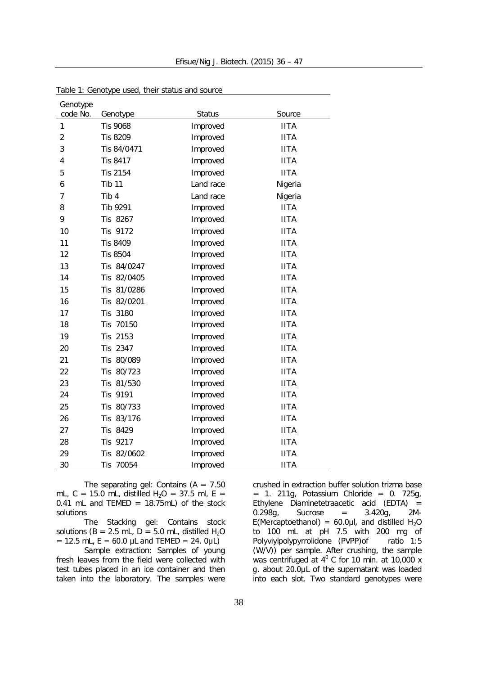| Genotype       |                 |               |             |
|----------------|-----------------|---------------|-------------|
| code No.       | Genotype        | <b>Status</b> | Source      |
| 1              | Tis 9068        | Improved      | <b>IITA</b> |
| $\overline{c}$ | <b>Tis 8209</b> | Improved      | <b>IITA</b> |
| 3              | Tis 84/0471     | Improved      | <b>IITA</b> |
| 4              | <b>Tis 8417</b> | Improved      | <b>IITA</b> |
| 5              | <b>Tis 2154</b> | Improved      | <b>IITA</b> |
| 6              | <b>Tib 11</b>   | Land race     | Nigeria     |
| $\overline{7}$ | Tib 4           | Land race     | Nigeria     |
| 8              | Tib 9291        | Improved      | <b>IITA</b> |
| 9              | Tis 8267        | Improved      | <b>IITA</b> |
| 10             | Tis 9172        | Improved      | <b>IITA</b> |
| 11             | Tis 8409        | Improved      | <b>IITA</b> |
| 12             | <b>Tis 8504</b> | Improved      | <b>IITA</b> |
| 13             | Tis 84/0247     | Improved      | <b>IITA</b> |
| 14             | Tis 82/0405     | Improved      | <b>IITA</b> |
| 15             | Tis 81/0286     | Improved      | <b>IITA</b> |
| 16             | Tis 82/0201     | Improved      | <b>IITA</b> |
| 17             | 3180<br>Tis     | Improved      | <b>IITA</b> |
| 18             | Tis 70150       | Improved      | <b>IITA</b> |
| 19             | 2153<br>Tis     | Improved      | <b>IITA</b> |
| 20             | Tis 2347        | Improved      | <b>IITA</b> |
| 21             | Tis 80/089      | Improved      | <b>IITA</b> |
| 22             | 80/723<br>Tis   | Improved      | <b>IITA</b> |
| 23             | Tis 81/530      | Improved      | <b>IITA</b> |
| 24             | Tis 9191        | Improved      | <b>IITA</b> |
| 25             | Tis 80/733      | Improved      | <b>IITA</b> |
| 26             | Tis 83/176      | Improved      | <b>IITA</b> |
| 27             | Tis 8429        | Improved      | <b>IITA</b> |
| 28             | 9217<br>Tis     | Improved      | <b>IITA</b> |
| 29             | 82/0602<br>Tis  | Improved      | <b>IITA</b> |
| 30             | 70054<br>Tis    | Improved      | <b>IITA</b> |

Table 1: Genotype used, their status and source

*The separating gel:* Contains (A = 7.50 mL, C = 15.0 mL, distilled  $H_2O = 37.5$  ml, E = 0.41 mL and TEMED =  $18.75$ mL) of the stock solutions

*The Stacking gel:* Contains stock solutions ( $B = 2.5$  mL,  $D = 5.0$  mL, distilled  $H_2O$  $= 12.5$  mL, E = 60.0 µL and TEMED = 24. 0µL)

*Sample extraction:* Samples of young fresh leaves from the field were collected with test tubes placed in an ice container and then taken into the laboratory. The samples were

crushed in extraction buffer solution trizma base  $= 1.211g$ , Potassium Chloride  $= 0.725g$ , Ethylene Diaminetetraacetic acid (EDTA) =  $0.298g$ , Sucrose =  $3.420g$ , 2M-E(Mercaptoethanol) = 60.0µl, and distilled H<sub>2</sub>O to 100 mL at pH 7.5 with 200 mg of Polyviylpolypyrrolidone (PVPP) of ratio 1:5 (W/V)) per sample. After crushing, the sample was centrifuged at  $4^{\circ}$  C for 10 min. at 10,000 x g. about 20.0µL of the supernatant was loaded into each slot. Two standard genotypes were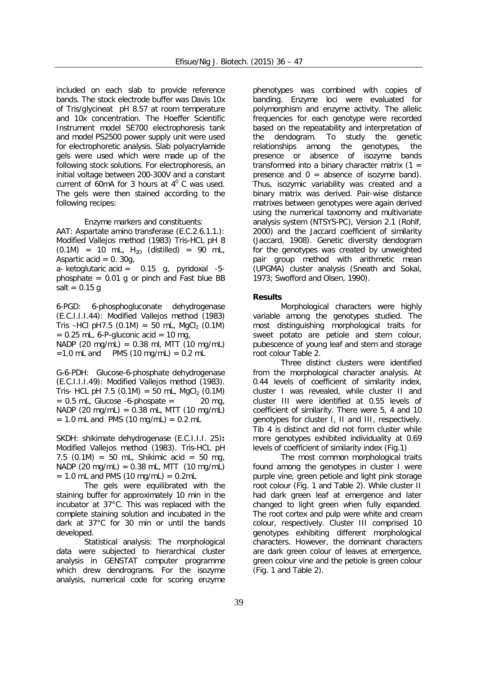included on each slab to provide reference bands. The stock electrode buffer was Davis 10x of Tris/glycineat pH 8.57 at room temperature and 10x concentration. The Hoeffer Scientific Instrument model SE700 electrophoresis tank and model PS2500 power supply unit were used for electrophoretic analysis. Slab polyacrylamide gels were used which were made up of the following stock solutions. For electrophoresis, an initial voltage between 200-300V and a constant current of 60mA for 3 hours at  $4^{\circ}$  C was used. The gels were then stained according to the following recipes:

Enzyme markers and constituents:

*AAT: Aspartate amino transferase (E.C.2.6.1.1.):* Modified Vallejos method (1983) Tris-HCL pH 8  $(0.1M) = 10$  mL,  $H_{20}$  (distilled) = 90 mL, Aspartic acid  $= 0.30a$ .

a- ketoglutaric acid =  $0.15$  g, pyridoxal -5phosphate  $= 0.01$  g or pinch and Fast blue BB salt =  $0.15$  g

*6-PGD: 6-phosphogluconate dehydrogenase (E.C.I.I.I.44):* Modified Vallejos method (1983) Tris –HCl pH7.5 (0.1M) = 50 mL, MgCl<sub>2</sub> (0.1M)  $= 0.25$  mL, 6-P-gluconic acid  $= 10$  mg, NADP  $(20 \text{ mg/mL}) = 0.38 \text{ ml}$ , MTT  $(10 \text{ mg/mL})$  $=1.0$  mL and PMS (10 mg/mL) = 0.2 mL

*G-6-PDH: Glucose-6-phosphate dehydrogenase (E.C.I.I.I.49):* Modified Vallejos method (1983). Tris- HCL pH 7.5 (0.1M) = 50 mL, MgCl<sub>2</sub> (0.1M)<br>= 0.5 mL. Glucose -6-phospate = 20 mg,  $= 0.5$  mL, Glucose -6-phospate  $=$  $NADP$  (20 mg/mL) = 0.38 mL, MTT (10 mg/mL)  $= 1.0$  mL and PMS (10 mg/mL)  $= 0.2$  mL

*SKDH: shikimate dehydrogenase (E.C.I.I.I. 25)***:** Modified Vallejos method (1983). Tris-HCL pH 7.5  $(0.1M) = 50$  mL, Shikimic acid = 50 mg, NADP (20 mg/mL) = 0.38 mL, MTT (10 mg/mL)  $= 1.0$  mL and PMS (10 mg/mL)  $= 0.2$ mL

The gels were equilibrated with the staining buffer for approximately 10 min in the incubator at 37°C. This was replaced with the complete staining solution and incubated in the dark at 37°C for 30 min or until the bands developed.

*Statistical analysis:* The morphological data were subjected to hierarchical cluster analysis in GENSTAT computer programme which drew dendrograms. For the isozyme analysis, numerical code for scoring enzyme

phenotypes was combined with copies of banding. Enzyme loci were evaluated for polymorphism and enzyme activity. The allelic frequencies for each genotype were recorded based on the repeatability and interpretation of the dendogram. To study the genetic relationships among the genotypes, the presence or absence of isozyme bands transformed into a binary character matrix  $(1 =$ presence and  $0 =$  absence of isozyme band). Thus, isozymic variability was created and a binary matrix was derived. Pair-wise distance matrixes between genotypes were again derived using the numerical taxonomy and multivariate analysis system (NTSYS-PC), Version 2.1 (Rohlf, 2000) and the Jaccard coefficient of similarity (Jaccard, 1908). Genetic diversity dendogram for the genotypes was created by unweighted pair group method with arithmetic mean (UPGMA) cluster analysis (Sneath and Sokal, 1973; Swofford and Olsen, 1990).

#### **Results**

Morphological characters were highly variable among the genotypes studied. The most distinguishing morphological traits for sweet potato are petiole and stem colour, pubescence of young leaf and stem and storage root colour Table 2.

Three distinct clusters were identified from the morphological character analysis. At 0.44 levels of coefficient of similarity index, cluster I was revealed, while cluster II and cluster III were identified at 0.55 levels of coefficient of similarity. There were 5, 4 and 10 genotypes for cluster I, II and III, respectively. Tib 4 is distinct and did not form cluster while more genotypes exhibited individuality at 0.69 levels of coefficient of similarity index (Fig.1)

The most common morphological traits found among the genotypes in cluster I were purple vine, green petiole and light pink storage root colour (Fig. 1 and Table 2). While cluster II had dark green leaf at emergence and later changed to light green when fully expanded. The root cortex and pulp were white and cream colour, respectively. Cluster III comprised 10 genotypes exhibiting different morphological characters. However, the dominant characters are dark green colour of leaves at emergence, green colour vine and the petiole is green colour (Fig. 1 and Table 2).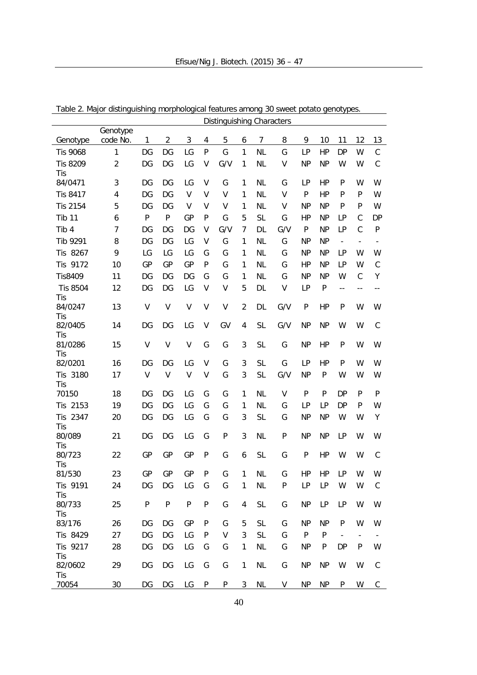|                       |                      |              |              |           |              | DISHI IYUISHII IYO CHAFACTEES |                |           |        |              |           |                          |                          |                          |
|-----------------------|----------------------|--------------|--------------|-----------|--------------|-------------------------------|----------------|-----------|--------|--------------|-----------|--------------------------|--------------------------|--------------------------|
| Genotype              | Genotype<br>code No. | 1            | 2            | 3         | 4            | 5                             | 6              | 7         | 8      | 9            | 10        | 11                       | 12                       | 13                       |
| <b>Tis 9068</b>       | 1                    | DG           | DG           | LG        | $\mathsf{P}$ | G                             | 1              | <b>NL</b> | G      | LP           | HP        | <b>DP</b>                | W                        | $\mathsf C$              |
| <b>Tis 8209</b>       | $\overline{2}$       | DG           | DG           | LG        | V            | G/V                           | 1              | <b>NL</b> | V      | <b>NP</b>    | <b>NP</b> | W                        | W                        | $\mathsf C$              |
| Tis                   |                      |              |              |           |              |                               |                |           |        |              |           |                          |                          |                          |
| 84/0471               | 3                    | DG           | DG           | LG        | V            | G                             | 1              | <b>NL</b> | G      | LP           | HP        | P                        | W                        | W                        |
| <b>Tis 8417</b>       | 4                    | DG           | DG           | V         | V            | V                             | 1              | <b>NL</b> | V      | P            | HP        | P                        | $\mathsf{P}$             | W                        |
| <b>Tis 2154</b>       | 5                    | DG           | DG           | V         | V            | V                             | 1              | <b>NL</b> | V      | <b>NP</b>    | <b>NP</b> | P                        | $\mathsf{P}$             | W                        |
| <b>Tib 11</b>         | 6                    | $\mathsf{P}$ | $\mathsf{P}$ | GP        | P            | G                             | 5              | <b>SL</b> | G      | HP           | <b>NP</b> | LP                       | $\mathsf C$              | <b>DP</b>                |
| Tib 4                 | $\overline{7}$       | DG           | DG           | DG        | V            | G/V                           | $\overline{7}$ | DL        | G/V    | $\mathsf{P}$ | <b>NP</b> | LP                       | $\mathsf{C}$             | $\mathsf{P}$             |
| Tib 9291              | 8                    | DG           | DG           | LG        | V            | G                             | 1              | <b>NL</b> | G      | <b>NP</b>    | <b>NP</b> | $\overline{\phantom{a}}$ | $\overline{\phantom{a}}$ | $\overline{\phantom{a}}$ |
| Tis 8267              | 9                    | LG           | LG           | LG        | G            | G                             | 1              | <b>NL</b> | G      | <b>NP</b>    | <b>NP</b> | LP                       | W                        | W                        |
| Tis 9172              | 10                   | GP           | GP           | GP        | $\mathsf{P}$ | G                             | 1              | <b>NL</b> | G      | HP           | <b>NP</b> | LP                       | W                        | $\mathsf C$              |
| <b>Tis8409</b>        | 11                   | DG           | DG           | DG        | G            | G                             | 1              | <b>NL</b> | G      | <b>NP</b>    | <b>NP</b> | W                        | $\mathsf{C}$             | Υ                        |
| <b>Tis 8504</b>       | 12                   | DG           | DG           | LG        | V            | V                             | 5              | DL        | V      | LP           | P         | $\overline{\phantom{a}}$ | $-$                      | $-\,-$                   |
| Tis<br>84/0247<br>Tis | 13                   | V            | V            | V         | V            | V                             | $\overline{2}$ | DL        | G/V    | P            | HP        | P                        | W                        | W                        |
| 82/0405<br>Tis        | 14                   | DG           | DG           | LG        | V            | GV                            | 4              | <b>SL</b> | G/V    | <b>NP</b>    | <b>NP</b> | W                        | W                        | $\mathsf C$              |
| 81/0286<br>Tis        | 15                   | V            | V            | V         | G            | G                             | 3              | <b>SL</b> | G      | <b>NP</b>    | HP        | P                        | W                        | W                        |
| 82/0201               | 16                   | DG           | DG           | LG        | V            | G                             | 3              | <b>SL</b> | G      | LP           | HP        | P                        | W                        | W                        |
| Tis 3180<br>Tis       | 17                   | $\vee$       | V            | V         | V            | G                             | 3              | <b>SL</b> | G/V    | <b>NP</b>    | P         | W                        | W                        | W                        |
| 70150                 | 18                   | DG           | DG           | LG        | G            | G                             | 1              | <b>NL</b> | $\vee$ | P            | ${\sf P}$ | <b>DP</b>                | $\mathsf{P}$             | $\mathsf{P}$             |
| Tis 2153              | 19                   | DG           | DG           | LG        | G            | G                             | 1              | <b>NL</b> | G      | LP           | LP        | <b>DP</b>                | P                        | W                        |
| Tis 2347<br>Tis       | 20                   | DG           | DG           | LG        | G            | G                             | 3              | <b>SL</b> | G      | <b>NP</b>    | <b>NP</b> | W                        | W                        | Υ                        |
| 80/089<br>Tis         | 21                   | DG           | DG           | LG        | G            | P                             | 3              | <b>NL</b> | P      | <b>NP</b>    | <b>NP</b> | LP                       | W                        | W                        |
| 80/723<br>Tis         | 22                   | GP           | GP           | GP        | P            | G                             | 6              | <b>SL</b> | G      | P            | HP        | W                        | W                        | $\mathsf C$              |
| 81/530                | 23                   | GP           | GP           | GP        | P            | G                             | 1              | <b>NL</b> | G      | HP           | HP        | LP                       | W                        | W                        |
| Tis 9191<br>Tis       | 24                   | DG           | DG           | LG        | G            | G                             | 1              | <b>NL</b> | P      | LP           | LP        | W                        | W                        | $\mathsf{C}$             |
| 80/733<br>Tis         | 25                   | $\mathsf{P}$ | ${\sf P}$    | ${\sf P}$ | ${\sf P}$    | G                             | 4              | <b>SL</b> | G      | <b>NP</b>    | LP        | LP                       | W                        | W                        |
| 83/176                | 26                   | DG           | DG           | GP        | P            | G                             | 5              | <b>SL</b> | G      | <b>NP</b>    | <b>NP</b> | P                        | W                        | W                        |
| Tis 8429              | 27                   | DG           | DG           | LG        | P            | V                             | 3              | <b>SL</b> | G      | $\mathsf{P}$ | ${\sf P}$ | $\overline{\phantom{a}}$ | $\overline{\phantom{a}}$ |                          |
| Tis 9217<br>Tis       | 28                   | DG           | DG           | LG        | G            | G                             | 1              | <b>NL</b> | G      | <b>NP</b>    | P         | <b>DP</b>                | P                        | W                        |
| 82/0602<br>Tis        | 29                   | DG           | DG           | LG        | G            | G                             | 1              | <b>NL</b> | G      | <b>NP</b>    | <b>NP</b> | W                        | W                        | $\mathsf C$              |
| 70054                 | 30                   | DG           | DG           | LG        | P            | P                             | 3              | NL        | V      | NP           | NP        | P                        | W                        | C                        |

Table 2. Major distinguishing morphological features among 30 sweet potato genotypes. Distinguishing Characters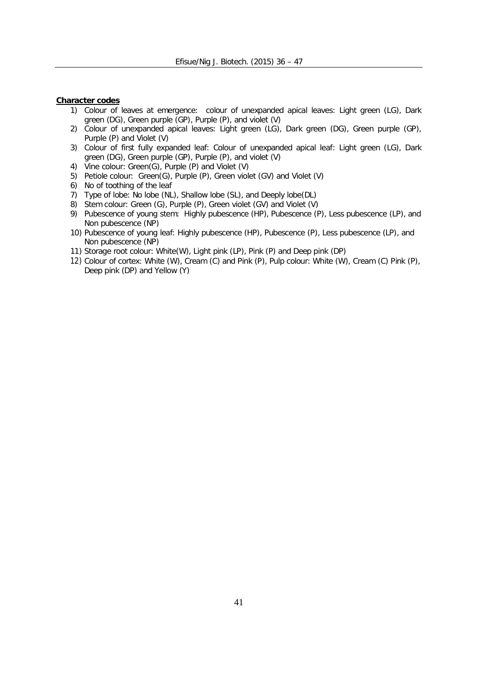# **Character codes**

- 1) Colour of leaves at emergence: colour of unexpanded apical leaves: Light green (LG), Dark green (DG), Green purple (GP), Purple (P), and violet (V)
- 2) Colour of unexpanded apical leaves: Light green (LG), Dark green (DG), Green purple (GP), Purple (P) and Violet (V)
- 3) Colour of first fully expanded leaf: Colour of unexpanded apical leaf: Light green (LG), Dark green (DG), Green purple (GP), Purple (P), and violet (V)
- 4) Vine colour: Green(G), Purple (P) and Violet (V)
- 5) Petiole colour: Green(G), Purple (P), Green violet (GV) and Violet (V)
- 6) No of toothing of the leaf
- 7) Type of lobe: No lobe (NL), Shallow lobe (SL), and Deeply lobe(DL)
- 8) Stem colour: Green (G), Purple (P), Green violet (GV) and Violet (V)
- 9) Pubescence of young stem: Highly pubescence (HP), Pubescence (P), Less pubescence (LP), and Non pubescence (NP)
- 10) Pubescence of young leaf: Highly pubescence (HP), Pubescence (P), Less pubescence (LP), and Non pubescence (NP)
- 11) Storage root colour: White(W), Light pink (LP), Pink (P) and Deep pink (DP)
- 12) Colour of cortex: White (W), Cream (C) and Pink (P), Pulp colour: White (W), Cream (C) Pink (P), Deep pink (DP) and Yellow (Y)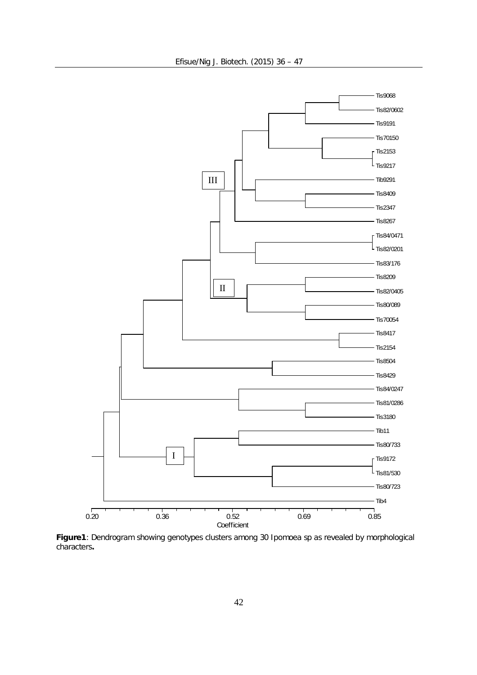

**Figure1**: Dendrogram showing genotypes clusters among 30 *Ipomoea* sp as revealed by morphological characters**.**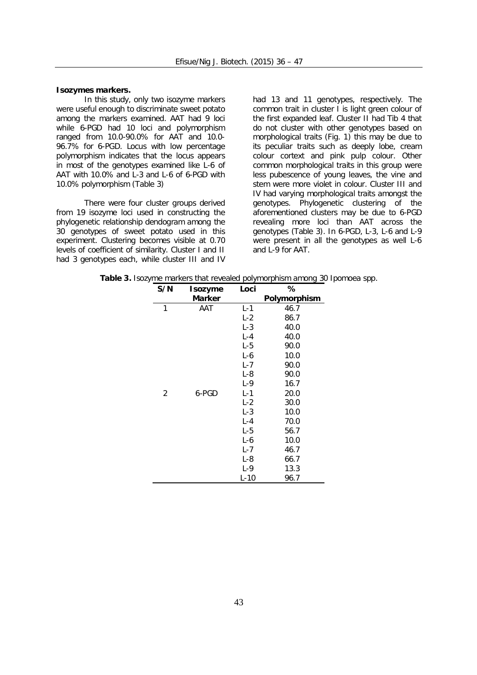#### **Isozymes markers.**

In this study, only two isozyme markers were useful enough to discriminate sweet potato among the markers examined. AAT had 9 loci while 6-PGD had 10 loci and polymorphism ranged from 10.0-90.0% for AAT and 10.0- 96.7% for 6-PGD. Locus with low percentage polymorphism indicates that the locus appears in most of the genotypes examined like L-6 of AAT with 10.0% and L-3 and L-6 of 6-PGD with 10.0% polymorphism (Table 3)

There were four cluster groups derived from 19 isozyme loci used in constructing the phylogenetic relationship dendogram among the 30 genotypes of sweet potato used in this experiment. Clustering becomes visible at 0.70 levels of coefficient of similarity. Cluster I and II had 3 genotypes each, while cluster III and IV

had 13 and 11 genotypes, respectively. The common trait in cluster I is light green colour of the first expanded leaf. Cluster II had Tib 4 that do not cluster with other genotypes based on morphological traits (Fig. 1) this may be due to its peculiar traits such as deeply lobe, cream colour cortext and pink pulp colour. Other common morphological traits in this group were less pubescence of young leaves, the vine and stem were more violet in colour. Cluster III and IV had varying morphological traits amongst the genotypes. Phylogenetic clustering of the aforementioned clusters may be due to 6-PGD revealing more loci than AAT across the genotypes (Table 3). In 6-PGD, L-3, L-6 and L-9 were present in all the genotypes as well L-6 and L-9 for AAT.

| S/N            | <b>Isozyme</b> | Loci    | %            |
|----------------|----------------|---------|--------------|
|                | Marker         |         | Polymorphism |
| 1              | AAT            | $L - 1$ | 46.7         |
|                |                | $L-2$   | 86.7         |
|                |                | $L-3$   | 40.0         |
|                |                | $L - 4$ | 40.0         |
|                |                | $L-5$   | 90.0         |
|                |                | $L-6$   | 10.0         |
|                |                | $L - 7$ | 90.0         |
|                |                | $L-8$   | 90.0         |
|                |                | $L-9$   | 16.7         |
| $\overline{2}$ | 6-PGD          | $L - 1$ | 20.0         |
|                |                | $L-2$   | 30.0         |
|                |                | $L-3$   | 10.0         |
|                |                | $L - 4$ | 70.0         |
|                |                | $L-5$   | 56.7         |
|                |                | $L-6$   | 10.0         |
|                |                | $L - 7$ | 46.7         |
|                |                | $L-8$   | 66.7         |
|                |                | $L-9$   | 13.3         |

**Table 3.** Isozyme markers that revealed polymorphism among 30 *Ipomoea* spp.

L-10 96.7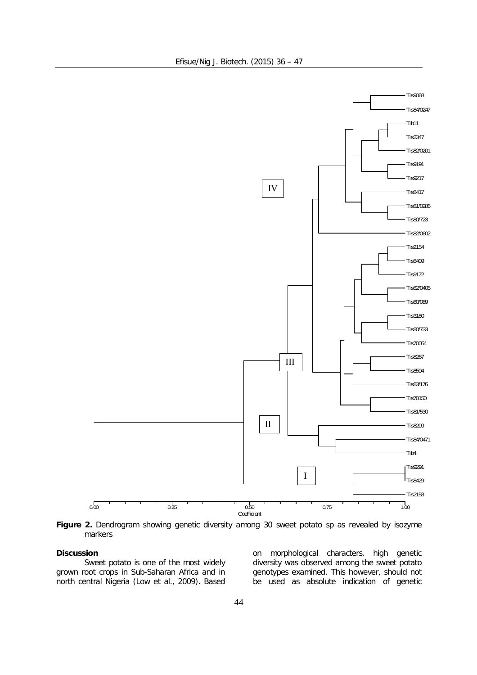

**Figure 2.** Dendrogram showing genetic diversity among 30 sweet potato sp as revealed by isozyme markers

# **Discussion**

Sweet potato is one of the most widely grown root crops in Sub-Saharan Africa and in north central Nigeria (Low *et al*., 2009). Based

on morphological characters, high genetic diversity was observed among the sweet potato genotypes examined. This however, should not be used as absolute indication of genetic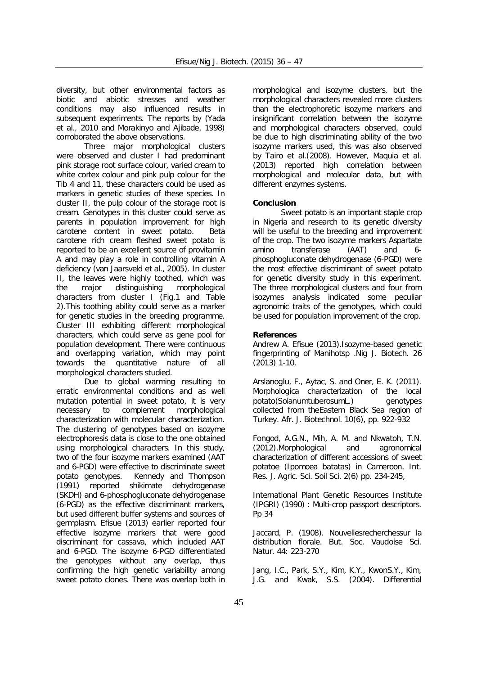diversity, but other environmental factors as biotic and abiotic stresses and weather conditions may also influenced results in subsequent experiments. The reports by (Yada *et al*., 2010 and Morakinyo and Ajibade, 1998) corroborated the above observations.

Three major morphological clusters were observed and cluster I had predominant pink storage root surface colour, varied cream to white cortex colour and pink pulp colour for the Tib 4 and 11, these characters could be used as markers in genetic studies of these species. In cluster II, the pulp colour of the storage root is cream. Genotypes in this cluster could serve as parents in population improvement for high carotene content in sweet potato. Beta carotene rich cream fleshed sweet potato is reported to be an excellent source of provitamin A and may play a role in controlling vitamin A deficiency (van Jaarsveld *et al.,* 2005). In cluster II, the leaves were highly toothed, which was the major distinguishing morphological characters from cluster I (Fig.1 and Table 2).This toothing ability could serve as a marker for genetic studies in the breeding programme. Cluster III exhibiting different morphological characters, which could serve as gene pool for population development. There were continuous and overlapping variation, which may point towards the quantitative nature of all morphological characters studied.

Due to global warming resulting to erratic environmental conditions and as well mutation potential in sweet potato, it is very necessary to complement morphological characterization with molecular characterization. The clustering of genotypes based on isozyme electrophoresis data is close to the one obtained using morphological characters. In this study, two of the four isozyme markers examined (AAT and 6-PGD) were effective to discriminate sweet potato genotypes. Kennedy and Thompson (1991) reported shikimate dehydrogenase (SKDH) and 6-phosphogluconate dehydrogenase (6-PGD) as the effective discriminant markers, but used different buffer systems and sources of germplasm. Efisue (2013) earlier reported four effective isozyme markers that were good discriminant for cassava, which included AAT and 6-PGD. The isozyme 6-PGD differentiated the genotypes without any overlap, thus confirming the high genetic variability among sweet potato clones. There was overlap both in

morphological and isozyme clusters, but the morphological characters revealed more clusters than the electrophoretic isozyme markers and insignificant correlation between the isozyme and morphological characters observed, could be due to high discriminating ability of the two isozyme markers used, this was also observed by Tairo *et al*.(2008). However, Maquia *et al.* (2013) reported high correlation between morphological and molecular data, but with different enzymes systems.

# **Conclusion**

Sweet potato is an important staple crop in Nigeria and research to its genetic diversity will be useful to the breeding and improvement of the crop. The two isozyme markers Aspartate amino transferase (AAT) and 6 phosphogluconate dehydrogenase (6-PGD) were the most effective discriminant of sweet potato for genetic diversity study in this experiment. The three morphological clusters and four from isozymes analysis indicated some peculiar agronomic traits of the genotypes, which could be used for population improvement of the crop.

# **References**

Andrew A. Efisue (2013).Isozyme-based genetic fingerprinting of *Manihot*sp .Nig J. Biotech. 26 (2013) 1-10.

Arslanoglu, F., Aytac, S. and Oner, E. K. (2011). Morphologica characterization of the local potato(*Solanumtuberosum*L*.*) genotypes collected from theEastern Black Sea region of Turkey. Afr. J. Biotechnol. 10(6), pp. 922-932

Fongod, A.G.N., Mih, A. M. and Nkwatoh, T.N. (2012).Morphological and agronomical characterization of different accessions of sweet potatoe (*Ipomoea batatas*) in Cameroon. Int. Res. J. Agric. Sci. Soil Sci. 2(6) pp. 234-245,

International Plant Genetic Resources Institute (IPGRI) (1990) : Multi-crop passport descriptors. Pp 34

Jaccard, P. (1908). Nouvellesrecherchessur la distribution florale. But. Soc. Vaudoise Sci. Natur. 44: 223-270

Jang, I.C., Park, S.Y., Kim, K.Y., KwonS.Y., Kim, J.G. and Kwak, S.S. (2004). Differential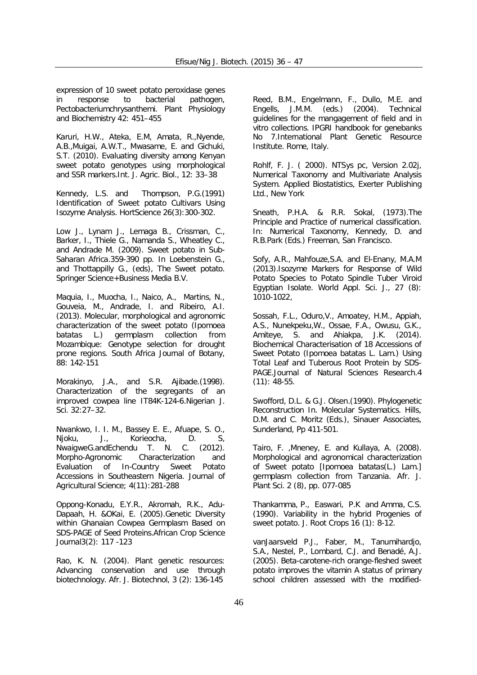expression of 10 sweet potato peroxidase genes in response to bacterial pathogen, Pectobacteriumchrysanthemi. Plant Physiology and Biochemistry 42: 451–455

Karuri, H.W., Ateka, E.M, Amata, R.,Nyende, A.B.,Muigai, A.W.T., Mwasame, E. and Gichuki, S.T. (2010). Evaluating diversity among Kenyan sweet potato genotypes using morphological and SSR markers.Int. J. Agric. Biol., 12: 33–38

Kennedy, L.S. and Thompson, P.G.(1991) Identification of Sweet potato Cultivars Using Isozyme Analysis. HortScience 26(3):300-302.

Low J., Lynam J., Lemaga B., Crissman, C., Barker, I., Thiele G., Namanda S., Wheatley C., and Andrade M. (2009). Sweet potato in Sub-Saharan Africa.359-390 pp. In Loebenstein G., and Thottappilly G., (eds), The Sweet potato. Springer Science+Business Media B.V.

Maquia, I., Muocha, I., Naico, A., Martins, N., Gouveia, M., Andrade, I. and Ribeiro, A.I. (2013). Molecular, morphological and agronomic characterization of the sweet potato (*Ipomoea batatas* L.) germplasm collection from Mozambique: Genotype selection for drought prone regions. South Africa Journal of Botany, 88: 142-151

Morakinyo, J.A., and S.R. Ajibade.(1998). Characterization of the segregants of an improved cowpea line IT84K-124-6.Nigerian J. Sci*.* 32:27–32.

Nwankwo, I. I. M., Bassey E. E., Afuape, S. O., Njoku, J., Korieocha, D. S, NwaigweG.andEchendu T. N. C. (2012). Morpho-Agronomic Characterization and Evaluation of In-Country Sweet Potato Accessions in Southeastern Nigeria. Journal of Agricultural Science; 4(11):281-288

Oppong-Konadu, E.Y.R., Akromah, R.K., Adu-Dapaah, H. &OKai, E. (2005).Genetic Diversity within Ghanaian Cowpea Germplasm Based on SDS-PAGE of Seed Proteins.African Crop Science Journal3(2): 117 -123

Rao, K. N. (2004). Plant genetic resources: Advancing conservation and use through biotechnology. Afr. J. Biotechnol, 3 (2): 136-145

Reed, B.M., Engelmann, F., Dullo, M.E. and Engells, J.M.M. (eds.) (2004). Technical guidelines for the mangagement of field and in vitro collections. IPGRI handbook for genebanks No 7.International Plant Genetic Resource Institute. Rome, Italy.

Rohlf, F. J. ( 2000). NTSys pc, Version 2.02j, Numerical Taxonomy and Multivariate Analysis System. Applied Biostatistics, Exerter Publishing Ltd., New York

Sneath, P.H.A. & R.R. Sokal, (1973).The Principle and Practice of numerical classification. In: Numerical Taxonomy, Kennedy, D. and R.B.Park (Eds.) Freeman, San Francisco.

Sofy, A.R., Mahfouze,S.A. and El-Enany, M.A.M (2013).Isozyme Markers for Response of Wild Potato Species to Potato Spindle Tuber Viroid Egyptian Isolate. World Appl. Sci. J., 27 (8): 1010-1022,

Sossah, F.L., Oduro,V., Amoatey, H.M., Appiah, A.S., Nunekpeku,W., Ossae, F.A., Owusu, G.K., Amiteye, S. and Ahiakpa, J.K. (2014). Biochemical Characterisation of 18 Accessions of Sweet Potato (Ipomoea batatas L. Lam.) Using Total Leaf and Tuberous Root Protein by SDS-PAGE.Journal of Natural Sciences Research.4 (11): 48-55.

Swofford, D.L. & G.J. Olsen.(1990). Phylogenetic Reconstruction In. Molecular Systematics. Hills, D.M. and C. Moritz (Eds.), Sinauer Associates, Sunderland, Pp 411-501.

Tairo, F. ,Mneney, E. and Kullaya, A. (2008). Morphological and agronomical characterization of Sweet potato [*Ipomoea batatas*(L.) Lam.] germplasm collection from Tanzania. Afr. J. Plant Sci. 2 (8), pp. 077-085

Thankamma, P., Easwari, P.K and Amma, C.S. (1990). Variability in the hybrid Progenies of sweet potato. J. Root Crops 16 (1): 8-12.

vanJaarsveld P.J., Faber, M., Tanumihardjo, S.A., Nestel, P., Lombard, C.J. and Benadé, A.J. (2005). Beta-carotene-rich orange-fleshed sweet potato improves the vitamin A status of primary school children assessed with the modified